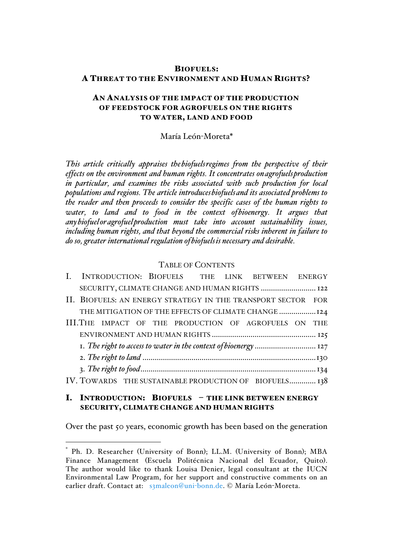## BIOFUELS: A THREAT TO THE ENVIRONMENT AND HUMAN RIGHTS?

## AN ANALYSIS OF THE IMPACT OF THE PRODUCTION OF FEEDSTOCK FOR AGROFUELS ON THE RIGHTS TO WATER, LAND AND FOOD

#### María León-Moreta\*

*This article critically appraises thebiofuelsregimes from the perspective of their effects on the environment and human rights. It concentrates onagrofuelsproduction in particular, and examines the risks associated with such production for local populations and regions. The article introducesbiofuelsand its associated problems to the reader and then proceeds to consider the specific cases of the human rights to water, to land and to food in the context ofbioenergy. It argues that anybiofueloragrofuelproduction must take into account sustainability issues, including human rights, and that beyond the commercial risks inherent in failure to do so, greater international regulation ofbiofuelsis necessary and desirable.*

## TABLE OF CONTENTS

|                                                                  |  |  |  |  |  |  |  | I. INTRODUCTION: BIOFUELS THE LINK BETWEEN ENERGY            |  |  |  |
|------------------------------------------------------------------|--|--|--|--|--|--|--|--------------------------------------------------------------|--|--|--|
|                                                                  |  |  |  |  |  |  |  | SECURITY, CLIMATE CHANGE AND HUMAN RIGHTS  122               |  |  |  |
|                                                                  |  |  |  |  |  |  |  | II. BIOFUELS: AN ENERGY STRATEGY IN THE TRANSPORT SECTOR FOR |  |  |  |
|                                                                  |  |  |  |  |  |  |  | THE MITIGATION OF THE EFFECTS OF CLIMATE CHANGE 124          |  |  |  |
|                                                                  |  |  |  |  |  |  |  | III.THE IMPACT OF THE PRODUCTION OF AGROFUELS ON THE         |  |  |  |
|                                                                  |  |  |  |  |  |  |  |                                                              |  |  |  |
| I. The right to access to water in the context of bioenergy  127 |  |  |  |  |  |  |  |                                                              |  |  |  |
|                                                                  |  |  |  |  |  |  |  |                                                              |  |  |  |
|                                                                  |  |  |  |  |  |  |  |                                                              |  |  |  |
|                                                                  |  |  |  |  |  |  |  | IV. TOWARDS THE SUSTAINABLE PRODUCTION OF BIOFUELS 138       |  |  |  |
|                                                                  |  |  |  |  |  |  |  |                                                              |  |  |  |

## I. INTRODUCTION: BIOFUELS - THE LINK BETWEEN ENERGY SECURITY, CLIMATE CHANGE AND HUMAN RIGHTS

Over the past 50 years, economic growth has been based on the generation

 $\overline{a}$ 

Ph. D. Researcher (University of Bonn); LL.M. (University of Bonn); MBA Finance Management (Escuela Politécnica Nacional del Ecuador, Quito). The author would like to thank Louisa Denier, legal consultant at the IUCN Environmental Law Program, for her support and constructive comments on an earlier draft. Contact at: s3maleon@uni-bonn.de. © María León-Moreta.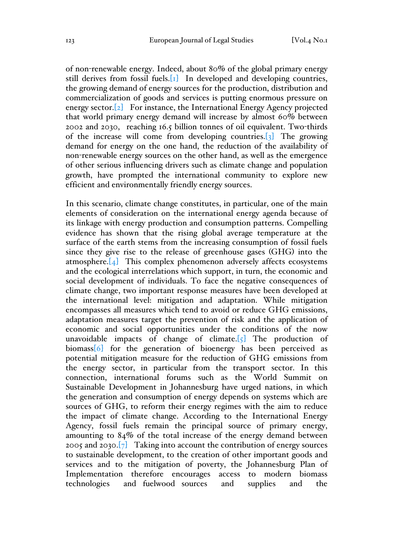of non-renewable energy. Indeed, about 80% of the global primary energy still derives from fossil fuels.  $\begin{bmatrix} 1 \end{bmatrix}$  In developed and developing countries, the growing demand of energy sources for the production, distribution and commercialization of goods and services is putting enormous pressure on energy sector.<sup>[2]</sup> For instance, the International Energy Agency projected that world primary energy demand will increase by almost 60% between 2002 and 2030, reaching 16.5 billion tonnes of oil equivalent. Two-thirds of the increase will come from developing countries.[3] The growing demand for energy on the one hand, the reduction of the availability of non-renewable energy sources on the other hand, as well as the emergence of other serious influencing drivers such as climate change and population growth, have prompted the international community to explore new efficient and environmentally friendly energy sources.

In this scenario, climate change constitutes, in particular, one of the main elements of consideration on the international energy agenda because of its linkage with energy production and consumption patterns. Compelling evidence has shown that the rising global average temperature at the surface of the earth stems from the increasing consumption of fossil fuels since they give rise to the release of greenhouse gases (GHG) into the atmosphere.[4] This complex phenomenon adversely affects ecosystems and the ecological interrelations which support, in turn, the economic and social development of individuals. To face the negative consequences of climate change, two important response measures have been developed at the international level: mitigation and adaptation. While mitigation encompasses all measures which tend to avoid or reduce GHG emissions, adaptation measures target the prevention of risk and the application of economic and social opportunities under the conditions of the now unavoidable impacts of change of climate. $\lbrack \{5\} \rbrack$  The production of biomass[6] for the generation of bioenergy has been perceived as potential mitigation measure for the reduction of GHG emissions from the energy sector, in particular from the transport sector. In this connection, international forums such as the World Summit on Sustainable Development in Johannesburg have urged nations, in which the generation and consumption of energy depends on systems which are sources of GHG, to reform their energy regimes with the aim to reduce the impact of climate change. According to the International Energy Agency, fossil fuels remain the principal source of primary energy, amounting to 84% of the total increase of the energy demand between 2005 and 2030. $\begin{bmatrix} 7 \end{bmatrix}$  Taking into account the contribution of energy sources to sustainable development, to the creation of other important goods and services and to the mitigation of poverty, the Johannesburg Plan of Implementation therefore encourages access to modern biomass technologies and fuelwood sources and supplies and the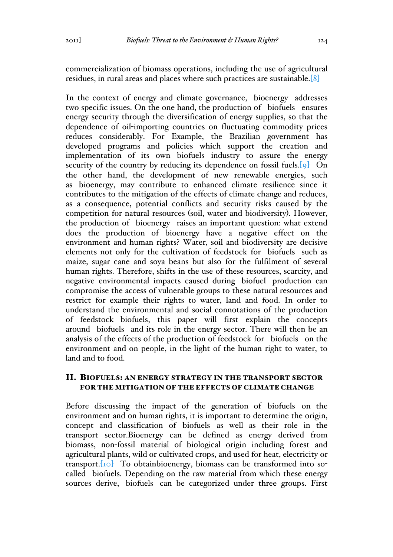commercialization of biomass operations, including the use of agricultural residues, in rural areas and places where such practices are sustainable.[8]

In the context of energy and climate governance, bioenergy addresses two specific issues. On the one hand, the production of biofuels ensures energy security through the diversification of energy supplies, so that the dependence of oil-importing countries on fluctuating commodity prices reduces considerably. For Example, the Brazilian government has developed programs and policies which support the creation and implementation of its own biofuels industry to assure the energy security of the country by reducing its dependence on fossil fuels.<sup>[9]</sup> On the other hand, the development of new renewable energies, such as bioenergy, may contribute to enhanced climate resilience since it contributes to the mitigation of the effects of climate change and reduces, as a consequence, potential conflicts and security risks caused by the competition for natural resources (soil, water and biodiversity). However, the production of bioenergy raises an important question: what extend does the production of bioenergy have a negative effect on the environment and human rights? Water, soil and biodiversity are decisive elements not only for the cultivation of feedstock for biofuels such as maize, sugar cane and soya beans but also for the fulfilment of several human rights. Therefore, shifts in the use of these resources, scarcity, and negative environmental impacts caused during biofuel production can compromise the access of vulnerable groups to these natural resources and restrict for example their rights to water, land and food. In order to understand the environmental and social connotations of the production of feedstock biofuels, this paper will first explain the concepts around biofuels and its role in the energy sector. There will then be an analysis of the effects of the production of feedstock for biofuels on the environment and on people, in the light of the human right to water, to land and to food.

## II. BIOFUELS: AN ENERGY STRATEGY IN THE TRANSPORT SECTOR FOR THE MITIGATION OF THE EFFECTS OF CLIMATE CHANGE

Before discussing the impact of the generation of biofuels on the environment and on human rights, it is important to determine the origin, concept and classification of biofuels as well as their role in the transport sector.Bioenergy can be defined as energy derived from biomass, non-fossil material of biological origin including forest and agricultural plants, wild or cultivated crops, and used for heat, electricity or transport.[10] To obtainbioenergy, biomass can be transformed into socalled biofuels. Depending on the raw material from which these energy sources derive, biofuels can be categorized under three groups. First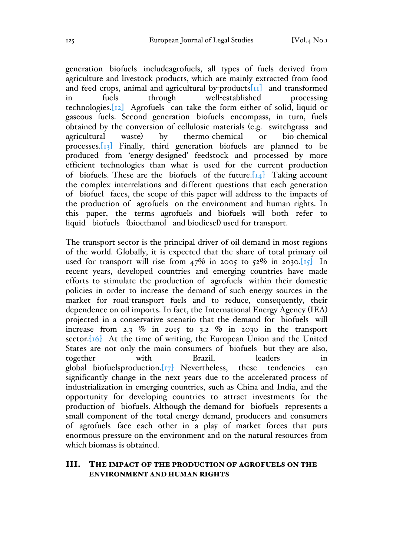generation biofuels includeagrofuels, all types of fuels derived from agriculture and livestock products, which are mainly extracted from food and feed crops, animal and agricultural by-products<sup>[11]</sup> and transformed<br>in fuels through well-established processing in fuels through well-established processing technologies.[12] Agrofuels can take the form either of solid, liquid or gaseous fuels. Second generation biofuels encompass, in turn, fuels obtained by the conversion of cellulosic materials (e.g. switchgrass and agricultural waste) by thermo-chemical or bio-chemical processes.[13] Finally, third generation biofuels are planned to be produced from 'energy-designed' feedstock and processed by more efficient technologies than what is used for the current production of biofuels. These are the biofuels of the future. $[14]$  Taking account the complex interrelations and different questions that each generation of biofuel faces, the scope of this paper will address to the impacts of the production of agrofuels on the environment and human rights. In this paper, the terms agrofuels and biofuels will both refer to liquid biofuels (bioethanol and biodiesel) used for transport.

The transport sector is the principal driver of oil demand in most regions of the world. Globally, it is expected that the share of total primary oil used for transport will rise from  $47\%$  in 2005 to  $52\%$  in 2030.[15] In recent years, developed countries and emerging countries have made efforts to stimulate the production of agrofuels within their domestic policies in order to increase the demand of such energy sources in the market for road-transport fuels and to reduce, consequently, their dependence on oil imports. In fact, the International Energy Agency (IEA) projected in a conservative scenario that the demand for biofuels will increase from 2.3  $\%$  in 2015 to 3.2  $\%$  in 2030 in the transport sector. $[16]$  At the time of writing, the European Union and the United States are not only the main consumers of biofuels but they are also,<br>together with Brazil leaders in together with Brazil, leaders in global biofuelsproduction. $\boxed{17}$  Nevertheless, these tendencies can significantly change in the next years due to the accelerated process of industrialization in emerging countries, such as China and India, and the opportunity for developing countries to attract investments for the production of biofuels. Although the demand for biofuels represents a small component of the total energy demand, producers and consumers of agrofuels face each other in a play of market forces that puts enormous pressure on the environment and on the natural resources from which biomass is obtained.

## III. THE IMPACT OF THE PRODUCTION OF AGROFUELS ON THE ENVIRONMENT AND HUMAN RIGHTS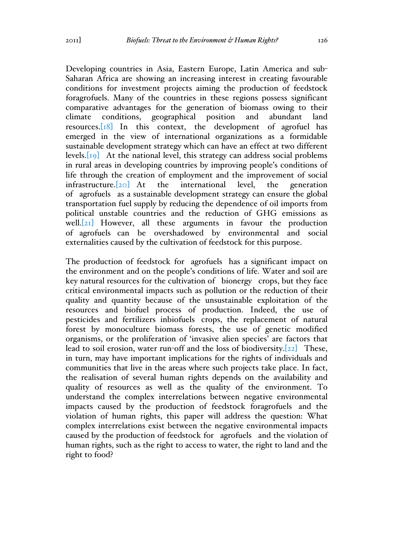Developing countries in Asia, Eastern Europe, Latin America and sub-Saharan Africa are showing an increasing interest in creating favourable conditions for investment projects aiming the production of feedstock foragrofuels. Many of the countries in these regions possess significant comparative advantages for the generation of biomass owing to their climate conditions, geographical position and abundant land resources.[18] In this context, the development of agrofuel has emerged in the view of international organizations as a formidable sustainable development strategy which can have an effect at two different levels. $\begin{bmatrix} 19 \end{bmatrix}$  At the national level, this strategy can address social problems in rural areas in developing countries by improving people's conditions of life through the creation of employment and the improvement of social infrastructure.[20] At the international level, the generation of agrofuels as a sustainable development strategy can ensure the global transportation fuel supply by reducing the dependence of oil imports from political unstable countries and the reduction of GHG emissions as well.<sup>[21]</sup> However, all these arguments in favour the production of agrofuels can be overshadowed by environmental and social externalities caused by the cultivation of feedstock for this purpose.

The production of feedstock for agrofuels has a significant impact on the environment and on the people's conditions of life. Water and soil are key natural resources for the cultivation of bionergy crops, but they face critical environmental impacts such as pollution or the reduction of their quality and quantity because of the unsustainable exploitation of the resources and biofuel process of production. Indeed, the use of pesticides and fertilizers inbiofuels crops, the replacement of natural forest by monoculture biomass forests, the use of genetic modified organisms, or the proliferation of 'invasive alien species' are factors that lead to soil erosion, water run-off and the loss of biodiversity.[22] These, in turn, may have important implications for the rights of individuals and communities that live in the areas where such projects take place. In fact, the realisation of several human rights depends on the availability and quality of resources as well as the quality of the environment. To understand the complex interrelations between negative environmental impacts caused by the production of feedstock foragrofuels and the violation of human rights, this paper will address the question: What complex interrelations exist between the negative environmental impacts caused by the production of feedstock for agrofuels and the violation of human rights, such as the right to access to water, the right to land and the right to food?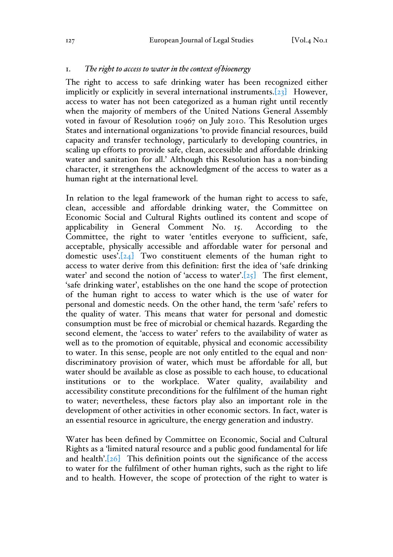#### 1. *The right to access to water in the context ofbioenergy*

The right to access to safe drinking water has been recognized either implicitly or explicitly in several international instruments.[23] However, access to water has not been categorized as a human right until recently when the majority of members of the United Nations General Assembly voted in favour of Resolution 10967 on July 2010. This Resolution urges States and international organizations 'to provide financial resources, build capacity and transfer technology, particularly to developing countries, in scaling up efforts to provide safe, clean, accessible and affordable drinking water and sanitation for all.' Although this Resolution has a non-binding character, it strengthens the acknowledgment of the access to water as a human right at the international level.

In relation to the legal framework of the human right to access to safe, clean, accessible and affordable drinking water, the Committee on Economic Social and Cultural Rights outlined its content and scope of applicability in General Comment No. 15. According to the Committee, the right to water 'entitles everyone to sufficient, safe, acceptable, physically accessible and affordable water for personal and domestic uses'. $[24]$  Two constituent elements of the human right to access to water derive from this definition: first the idea of 'safe drinking water' and second the notion of 'access to water'. $[25]$  The first element, 'safe drinking water', establishes on the one hand the scope of protection of the human right to access to water which is the use of water for personal and domestic needs. On the other hand, the term 'safe' refers to the quality of water. This means that water for personal and domestic consumption must be free of microbial or chemical hazards. Regarding the second element, the 'access to water' refers to the availability of water as well as to the promotion of equitable, physical and economic accessibility to water. In this sense, people are not only entitled to the equal and nondiscriminatory provision of water, which must be affordable for all, but water should be available as close as possible to each house, to educational institutions or to the workplace. Water quality, availability and accessibility constitute preconditions for the fulfilment of the human right to water; nevertheless, these factors play also an important role in the development of other activities in other economic sectors. In fact, water is an essential resource in agriculture, the energy generation and industry.

Water has been defined by Committee on Economic, Social and Cultural Rights as a 'limited natural resource and a public good fundamental for life and health'. $[26]$  This definition points out the significance of the access to water for the fulfilment of other human rights, such as the right to life and to health. However, the scope of protection of the right to water is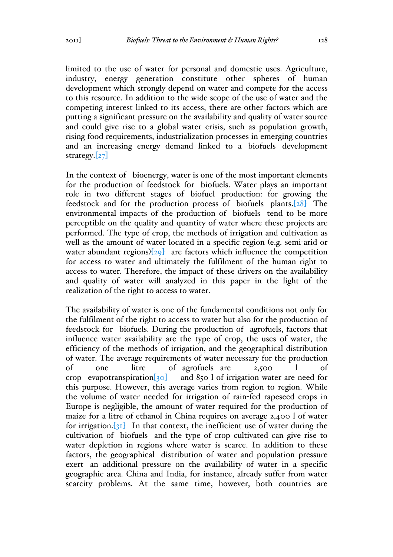limited to the use of water for personal and domestic uses. Agriculture, industry, energy generation constitute other spheres of human development which strongly depend on water and compete for the access to this resource. In addition to the wide scope of the use of water and the competing interest linked to its access, there are other factors which are putting a significant pressure on the availability and quality of water source and could give rise to a global water crisis, such as population growth, rising food requirements, industrialization processes in emerging countries and an increasing energy demand linked to a biofuels development strategy. $[27]$ 

In the context of bioenergy, water is one of the most important elements for the production of feedstock for biofuels. Water plays an important role in two different stages of biofuel production: for growing the feedstock and for the production process of biofuels plants.[28] The environmental impacts of the production of biofuels tend to be more perceptible on the quality and quantity of water where these projects are performed. The type of crop, the methods of irrigation and cultivation as well as the amount of water located in a specific region (e.g. semi-arid or water abundant regions) $[29]$  are factors which influence the competition for access to water and ultimately the fulfilment of the human right to access to water. Therefore, the impact of these drivers on the availability and quality of water will analyzed in this paper in the light of the realization of the right to access to water.

The availability of water is one of the fundamental conditions not only for the fulfilment of the right to access to water but also for the production of feedstock for biofuels. During the production of agrofuels, factors that influence water availability are the type of crop, the uses of water, the efficiency of the methods of irrigation, and the geographical distribution of water. The average requirements of water necessary for the production of one litre of agrofuels are 2,500 l of crop evapotranspiration[30] and 850 l of irrigation water are need for this purpose. However, this average varies from region to region. While the volume of water needed for irrigation of rain-fed rapeseed crops in Europe is negligible, the amount of water required for the production of maize for a litre of ethanol in China requires on average 2,400 l of water for irrigation. $\begin{bmatrix} 31 \end{bmatrix}$  In that context, the inefficient use of water during the cultivation of biofuels and the type of crop cultivated can give rise to water depletion in regions where water is scarce. In addition to these factors, the geographical distribution of water and population pressure exert an additional pressure on the availability of water in a specific geographic area. China and India, for instance, already suffer from water scarcity problems. At the same time, however, both countries are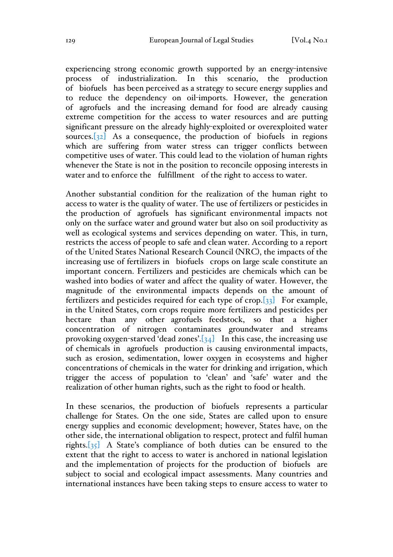experiencing strong economic growth supported by an energy-intensive process of industrialization. In this scenario, the production of biofuels has been perceived as a strategy to secure energy supplies and to reduce the dependency on oil-imports. However, the generation of agrofuels and the increasing demand for food are already causing extreme competition for the access to water resources and are putting significant pressure on the already highly-exploited or overexploited water sources. $[32]$  As a consequence, the production of biofuels in regions which are suffering from water stress can trigger conflicts between competitive uses of water. This could lead to the violation of human rights whenever the State is not in the position to reconcile opposing interests in water and to enforce the fulfillment of the right to access to water.

Another substantial condition for the realization of the human right to access to water is the quality of water. The use of fertilizers or pesticides in the production of agrofuels has significant environmental impacts not only on the surface water and ground water but also on soil productivity as well as ecological systems and services depending on water. This, in turn, restricts the access of people to safe and clean water. According to a report of the United States National Research Council (NRC), the impacts of the increasing use of fertilizers in biofuels crops on large scale constitute an important concern. Fertilizers and pesticides are chemicals which can be washed into bodies of water and affect the quality of water. However, the magnitude of the environmental impacts depends on the amount of fertilizers and pesticides required for each type of crop.[33] For example, in the United States, corn crops require more fertilizers and pesticides per hectare than any other agrofuels feedstock, so that a higher concentration of nitrogen contaminates groundwater and streams provoking oxygen-starved 'dead zones'. $[34]$  In this case, the increasing use of chemicals in agrofuels production is causing environmental impacts, such as erosion, sedimentation, lower oxygen in ecosystems and higher concentrations of chemicals in the water for drinking and irrigation, which trigger the access of population to 'clean' and 'safe' water and the realization of other human rights, such as the right to food or health.

In these scenarios, the production of biofuels represents a particular challenge for States. On the one side, States are called upon to ensure energy supplies and economic development; however, States have, on the other side, the international obligation to respect, protect and fulfil human rights.[35] A State's compliance of both duties can be ensured to the extent that the right to access to water is anchored in national legislation and the implementation of projects for the production of biofuels are subject to social and ecological impact assessments. Many countries and international instances have been taking steps to ensure access to water to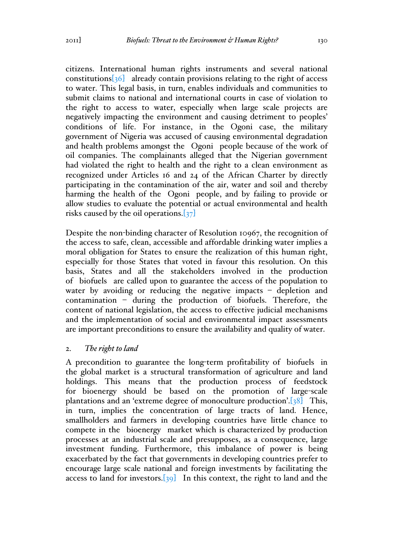citizens. International human rights instruments and several national constitutions $\begin{bmatrix} 36 \end{bmatrix}$  already contain provisions relating to the right of access to water. This legal basis, in turn, enables individuals and communities to submit claims to national and international courts in case of violation to the right to access to water, especially when large scale projects are negatively impacting the environment and causing detriment to peoples' conditions of life. For instance, in the Ogoni case, the military government of Nigeria was accused of causing environmental degradation and health problems amongst the Ogoni people because of the work of oil companies. The complainants alleged that the Nigerian government had violated the right to health and the right to a clean environment as recognized under Articles 16 and 24 of the African Charter by directly participating in the contamination of the air, water and soil and thereby harming the health of the Ogoni people, and by failing to provide or allow studies to evaluate the potential or actual environmental and health risks caused by the oil operations. $[37]$ 

Despite the non-binding character of Resolution 10967, the recognition of the access to safe, clean, accessible and affordable drinking water implies a moral obligation for States to ensure the realization of this human right, especially for those States that voted in favour this resolution. On this basis, States and all the stakeholders involved in the production of biofuels are called upon to guarantee the access of the population to water by avoiding or reducing the negative impacts – depletion and contamination – during the production of biofuels. Therefore, the content of national legislation, the access to effective judicial mechanisms and the implementation of social and environmental impact assessments are important preconditions to ensure the availability and quality of water.

# 2. *The right to land*

A precondition to guarantee the long-term profitability of biofuels in the global market is a structural transformation of agriculture and land holdings. This means that the production process of feedstock for bioenergy should be based on the promotion of large-scale plantations and an 'extreme degree of monoculture production'.[38] This, in turn, implies the concentration of large tracts of land. Hence, smallholders and farmers in developing countries have little chance to compete in the bioenergy market which is characterized by production processes at an industrial scale and presupposes, as a consequence, large investment funding. Furthermore, this imbalance of power is being exacerbated by the fact that governments in developing countries prefer to encourage large scale national and foreign investments by facilitating the access to land for investors. $[39]$  In this context, the right to land and the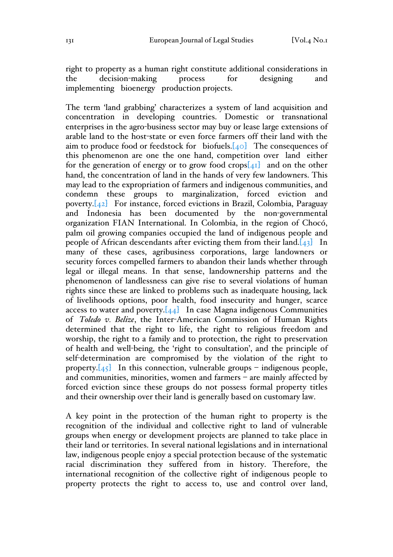right to property as a human right constitute additional considerations in the decision-making process for designing and implementing bioenergy production projects.

The term 'land grabbing' characterizes a system of land acquisition and concentration in developing countries. Domestic or transnational enterprises in the agro-business sector may buy or lease large extensions of arable land to the host-state or even force farmers off their land with the aim to produce food or feedstock for biofuels. $[40]$  The consequences of this phenomenon are one the one hand, competition over land either for the generation of energy or to grow food crops $[41]$  and on the other hand, the concentration of land in the hands of very few landowners. This may lead to the expropriation of farmers and indigenous communities, and condemn these groups to marginalization, forced eviction and poverty.[42] For instance, forced evictions in Brazil, Colombia, Paraguay and Indonesia has been documented by the non-governmental organization FIAN International. In Colombia, in the region of Chocó, palm oil growing companies occupied the land of indigenous people and people of African descendants after evicting them from their land. $[43]$  In many of these cases, agribusiness corporations, large landowners or security forces compelled farmers to abandon their lands whether through legal or illegal means. In that sense, landownership patterns and the phenomenon of landlessness can give rise to several violations of human rights since these are linked to problems such as inadequate housing, lack of livelihoods options, poor health, food insecurity and hunger, scarce access to water and poverty. $[44]$  In case Magna indigenous Communities of *Toledo v. Belize*, the Inter-American Commission of Human Rights determined that the right to life, the right to religious freedom and worship, the right to a family and to protection, the right to preservation of health and well-being, the 'right to consultation', and the principle of self-determination are compromised by the violation of the right to property. $[45]$  In this connection, vulnerable groups – indigenous people, and communities, minorities, women and farmers – are mainly affected by forced eviction since these groups do not possess formal property titles and their ownership over their land is generally based on customary law.

A key point in the protection of the human right to property is the recognition of the individual and collective right to land of vulnerable groups when energy or development projects are planned to take place in their land or territories. In several national legislations and in international law, indigenous people enjoy a special protection because of the systematic racial discrimination they suffered from in history. Therefore, the international recognition of the collective right of indigenous people to property protects the right to access to, use and control over land,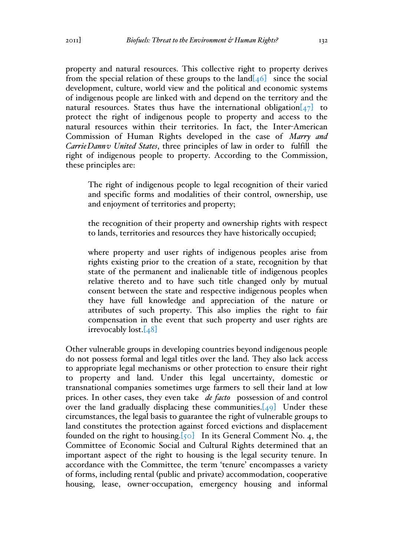property and natural resources. This collective right to property derives from the special relation of these groups to the land $[46]$  since the social development, culture, world view and the political and economic systems of indigenous people are linked with and depend on the territory and the natural resources. States thus have the international obligation $\begin{bmatrix} 47 \end{bmatrix}$  to protect the right of indigenous people to property and access to the natural resources within their territories. In fact, the Inter-American Commission of Human Rights developed in the case of *Marry and CarrieDannv United States*, three principles of law in order to fulfill the right of indigenous people to property. According to the Commission, these principles are:

The right of indigenous people to legal recognition of their varied and specific forms and modalities of their control, ownership, use and enjoyment of territories and property;

the recognition of their property and ownership rights with respect to lands, territories and resources they have historically occupied;

where property and user rights of indigenous peoples arise from rights existing prior to the creation of a state, recognition by that state of the permanent and inalienable title of indigenous peoples relative thereto and to have such title changed only by mutual consent between the state and respective indigenous peoples when they have full knowledge and appreciation of the nature or attributes of such property. This also implies the right to fair compensation in the event that such property and user rights are irrevocably lost.[48]

Other vulnerable groups in developing countries beyond indigenous people do not possess formal and legal titles over the land. They also lack access to appropriate legal mechanisms or other protection to ensure their right to property and land. Under this legal uncertainty, domestic or transnational companies sometimes urge farmers to sell their land at low prices. In other cases, they even take *de facto* possession of and control over the land gradually displacing these communities. $[49]$  Under these circumstances, the legal basis to guarantee the right of vulnerable groups to land constitutes the protection against forced evictions and displacement founded on the right to housing.  $[50]$  In its General Comment No. 4, the Committee of Economic Social and Cultural Rights determined that an important aspect of the right to housing is the legal security tenure. In accordance with the Committee, the term 'tenure' encompasses a variety of forms, including rental (public and private) accommodation, cooperative housing, lease, owner-occupation, emergency housing and informal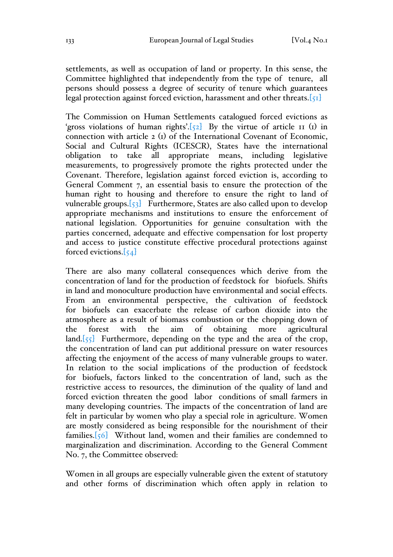settlements, as well as occupation of land or property. In this sense, the Committee highlighted that independently from the type of tenure, all persons should possess a degree of security of tenure which guarantees legal protection against forced eviction, harassment and other threats.[51]

The Commission on Human Settlements catalogued forced evictions as 'gross violations of human rights'.<sup>[52]</sup> By the virtue of article  $\pi$  (1) in connection with article 2 (1) of the International Covenant of Economic, Social and Cultural Rights (ICESCR), States have the international obligation to take all appropriate means, including legislative measurements, to progressively promote the rights protected under the Covenant. Therefore, legislation against forced eviction is, according to General Comment 7, an essential basis to ensure the protection of the human right to housing and therefore to ensure the right to land of vulnerable groups.[53] Furthermore, States are also called upon to develop appropriate mechanisms and institutions to ensure the enforcement of national legislation. Opportunities for genuine consultation with the parties concerned, adequate and effective compensation for lost property and access to justice constitute effective procedural protections against forced evictions.[54]

There are also many collateral consequences which derive from the concentration of land for the production of feedstock for biofuels. Shifts in land and monoculture production have environmental and social effects. From an environmental perspective, the cultivation of feedstock for biofuels can exacerbate the release of carbon dioxide into the atmosphere as a result of biomass combustion or the chopping down of the forest with the aim of obtaining more agricultural land.[55] Furthermore, depending on the type and the area of the crop, the concentration of land can put additional pressure on water resources affecting the enjoyment of the access of many vulnerable groups to water. In relation to the social implications of the production of feedstock for biofuels, factors linked to the concentration of land, such as the restrictive access to resources, the diminution of the quality of land and forced eviction threaten the good labor conditions of small farmers in many developing countries. The impacts of the concentration of land are felt in particular by women who play a special role in agriculture. Women are mostly considered as being responsible for the nourishment of their families.[56] Without land, women and their families are condemned to marginalization and discrimination. According to the General Comment No. 7, the Committee observed:

Women in all groups are especially vulnerable given the extent of statutory and other forms of discrimination which often apply in relation to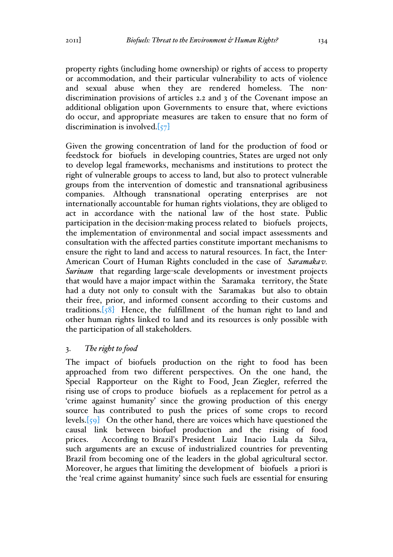property rights (including home ownership) or rights of access to property or accommodation, and their particular vulnerability to acts of violence and sexual abuse when they are rendered homeless. The nondiscrimination provisions of articles 2.2 and 3 of the Covenant impose an additional obligation upon Governments to ensure that, where evictions do occur, and appropriate measures are taken to ensure that no form of discrimination is involved.[57]

Given the growing concentration of land for the production of food or feedstock for biofuels in developing countries, States are urged not only to develop legal frameworks, mechanisms and institutions to protect the right of vulnerable groups to access to land, but also to protect vulnerable groups from the intervention of domestic and transnational agribusiness companies. Although transnational operating enterprises are not internationally accountable for human rights violations, they are obliged to act in accordance with the national law of the host state. Public participation in the decision-making process related to biofuels projects, the implementation of environmental and social impact assessments and consultation with the affected parties constitute important mechanisms to ensure the right to land and access to natural resources. In fact, the Inter-American Court of Human Rights concluded in the case of *Saramakav. Surinam* that regarding large-scale developments or investment projects that would have a major impact within the Saramaka territory, the State had a duty not only to consult with the Saramakas but also to obtain their free, prior, and informed consent according to their customs and traditions.[58] Hence, the fulfillment of the human right to land and other human rights linked to land and its resources is only possible with the participation of all stakeholders.

# 3. *The right to food*

The impact of biofuels production on the right to food has been approached from two different perspectives. On the one hand, the Special Rapporteur on the Right to Food, Jean Ziegler, referred the rising use of crops to produce biofuels as a replacement for petrol as a 'crime against humanity' since the growing production of this energy source has contributed to push the prices of some crops to record levels.[59] On the other hand, there are voices which have questioned the causal link between biofuel production and the rising of food prices. According to Brazil's President Luiz Inacio Lula da Silva, such arguments are an excuse of industrialized countries for preventing Brazil from becoming one of the leaders in the global agricultural sector. Moreover, he argues that limiting the development of biofuels a priori is the 'real crime against humanity' since such fuels are essential for ensuring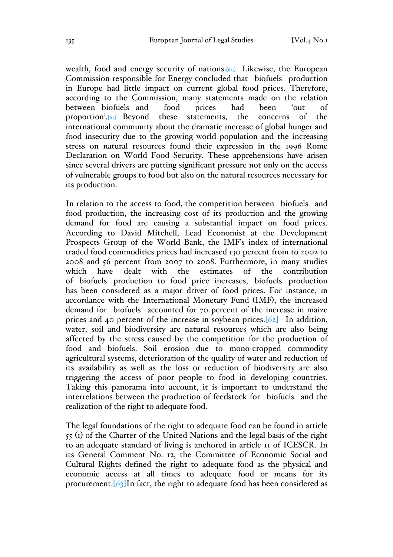wealth, food and energy security of nations.[60] Likewise, the European Commission responsible for Energy concluded that biofuels production in Europe had little impact on current global food prices. Therefore, according to the Commission, many statements made on the relation between biofuels and food prices had been 'out of proportion'.[61] Beyond these statements, the concerns of the international community about the dramatic increase of global hunger and food insecurity due to the growing world population and the increasing stress on natural resources found their expression in the 1996 Rome Declaration on World Food Security. These apprehensions have arisen since several drivers are putting significant pressure not only on the access of vulnerable groups to food but also on the natural resources necessary for its production.

In relation to the access to food, the competition between biofuels and food production, the increasing cost of its production and the growing demand for food are causing a substantial impact on food prices. According to David Mitchell, Lead Economist at the Development Prospects Group of the World Bank, the IMF's index of international traded food commodities prices had increased 130 percent from to 2002 to 2008 and 56 percent from 2007 to 2008. Furthermore, in many studies which have dealt with the estimates of the contribution of biofuels production to food price increases, biofuels production has been considered as a major driver of food prices. For instance, in accordance with the International Monetary Fund (IMF), the increased demand for biofuels accounted for 70 percent of the increase in maize prices and 40 percent of the increase in soybean prices.[62] In addition, water, soil and biodiversity are natural resources which are also being affected by the stress caused by the competition for the production of food and biofuels. Soil erosion due to mono-cropped commodity agricultural systems, deterioration of the quality of water and reduction of its availability as well as the loss or reduction of biodiversity are also triggering the access of poor people to food in developing countries. Taking this panorama into account, it is important to understand the interrelations between the production of feedstock for biofuels and the realization of the right to adequate food.

The legal foundations of the right to adequate food can be found in article 55 (1) of the Charter of the United Nations and the legal basis of the right to an adequate standard of living is anchored in article 11 of ICESCR. In its General Comment No. 12, the Committee of Economic Social and Cultural Rights defined the right to adequate food as the physical and economic access at all times to adequate food or means for its procurement.[63]In fact, the right to adequate food has been considered as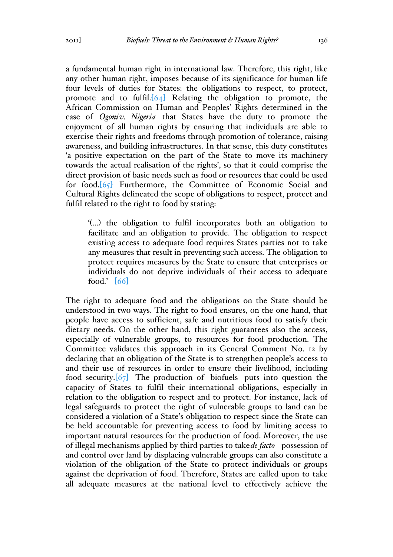a fundamental human right in international law. Therefore, this right, like any other human right, imposes because of its significance for human life four levels of duties for States: the obligations to respect, to protect, promote and to fulfil. $[64]$  Relating the obligation to promote, the African Commission on Human and Peoples' Rights determined in the case of *Ogoniv. Nigeria* that States have the duty to promote the enjoyment of all human rights by ensuring that individuals are able to exercise their rights and freedoms through promotion of tolerance, raising awareness, and building infrastructures. In that sense, this duty constitutes 'a positive expectation on the part of the State to move its machinery towards the actual realisation of the rights', so that it could comprise the direct provision of basic needs such as food or resources that could be used for food.[65] Furthermore, the Committee of Economic Social and Cultural Rights delineated the scope of obligations to respect, protect and fulfil related to the right to food by stating:

'(…) the obligation to fulfil incorporates both an obligation to facilitate and an obligation to provide. The obligation to respect existing access to adequate food requires States parties not to take any measures that result in preventing such access. The obligation to protect requires measures by the State to ensure that enterprises or individuals do not deprive individuals of their access to adequate food.' [66]

The right to adequate food and the obligations on the State should be understood in two ways. The right to food ensures, on the one hand, that people have access to sufficient, safe and nutritious food to satisfy their dietary needs. On the other hand, this right guarantees also the access, especially of vulnerable groups, to resources for food production. The Committee validates this approach in its General Comment No. 12 by declaring that an obligation of the State is to strengthen people's access to and their use of resources in order to ensure their livelihood, including food security.[67] The production of biofuels puts into question the capacity of States to fulfil their international obligations, especially in relation to the obligation to respect and to protect. For instance, lack of legal safeguards to protect the right of vulnerable groups to land can be considered a violation of a State's obligation to respect since the State can be held accountable for preventing access to food by limiting access to important natural resources for the production of food. Moreover, the use of illegal mechanisms applied by third parties to take*de facto* possession of and control over land by displacing vulnerable groups can also constitute a violation of the obligation of the State to protect individuals or groups against the deprivation of food. Therefore, States are called upon to take all adequate measures at the national level to effectively achieve the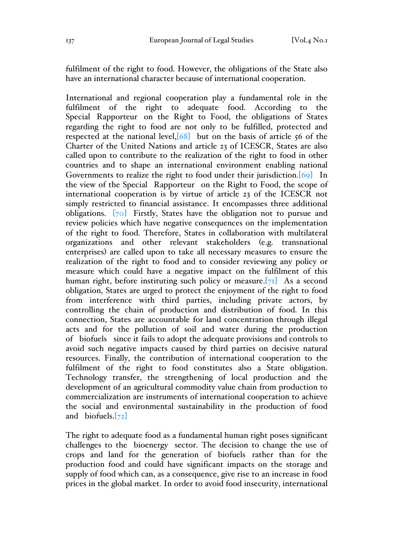fulfilment of the right to food. However, the obligations of the State also have an international character because of international cooperation.

International and regional cooperation play a fundamental role in the fulfilment of the right to adequate food. According to the Special Rapporteur on the Right to Food, the obligations of States regarding the right to food are not only to be fulfilled, protected and respected at the national level, $[68]$  but on the basis of article 56 of the Charter of the United Nations and article 23 of ICESCR, States are also called upon to contribute to the realization of the right to food in other countries and to shape an international environment enabling national Governments to realize the right to food under their jurisdiction.<sup>[69]</sup> In the view of the Special Rapporteur on the Right to Food, the scope of international cooperation is by virtue of article 23 of the ICESCR not simply restricted to financial assistance. It encompasses three additional obligations. [70] Firstly, States have the obligation not to pursue and review policies which have negative consequences on the implementation of the right to food. Therefore, States in collaboration with multilateral organizations and other relevant stakeholders (e.g. transnational enterprises) are called upon to take all necessary measures to ensure the realization of the right to food and to consider reviewing any policy or measure which could have a negative impact on the fulfilment of this human right, before instituting such policy or measure. $[71]$  As a second obligation, States are urged to protect the enjoyment of the right to food from interference with third parties, including private actors, by controlling the chain of production and distribution of food. In this connection, States are accountable for land concentration through illegal acts and for the pollution of soil and water during the production of biofuels since it fails to adopt the adequate provisions and controls to avoid such negative impacts caused by third parties on decisive natural resources. Finally, the contribution of international cooperation to the fulfilment of the right to food constitutes also a State obligation. Technology transfer, the strengthening of local production and the development of an agricultural commodity value chain from production to commercialization are instruments of international cooperation to achieve the social and environmental sustainability in the production of food and biofuels. $[72]$ 

The right to adequate food as a fundamental human right poses significant challenges to the bioenergy sector. The decision to change the use of crops and land for the generation of biofuels rather than for the production food and could have significant impacts on the storage and supply of food which can, as a consequence, give rise to an increase in food prices in the global market. In order to avoid food insecurity, international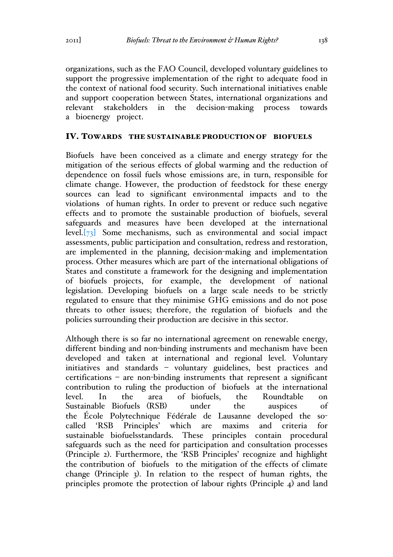organizations, such as the FAO Council, developed voluntary guidelines to support the progressive implementation of the right to adequate food in the context of national food security. Such international initiatives enable and support cooperation between States, international organizations and relevant stakeholders in the decision-making process towards a bioenergy project.

#### IV. TOWARDS THE SUSTAINABLE PRODUCTION OF BIOFUELS

Biofuels have been conceived as a climate and energy strategy for the mitigation of the serious effects of global warming and the reduction of dependence on fossil fuels whose emissions are, in turn, responsible for climate change. However, the production of feedstock for these energy sources can lead to significant environmental impacts and to the violations of human rights. In order to prevent or reduce such negative effects and to promote the sustainable production of biofuels, several safeguards and measures have been developed at the international level.[73] Some mechanisms, such as environmental and social impact assessments, public participation and consultation, redress and restoration, are implemented in the planning, decision-making and implementation process. Other measures which are part of the international obligations of States and constitute a framework for the designing and implementation of biofuels projects, for example, the development of national legislation. Developing biofuels on a large scale needs to be strictly regulated to ensure that they minimise GHG emissions and do not pose threats to other issues; therefore, the regulation of biofuels and the policies surrounding their production are decisive in this sector.

Although there is so far no international agreement on renewable energy, different binding and non-binding instruments and mechanism have been developed and taken at international and regional level. Voluntary initiatives and standards – voluntary guidelines, best practices and certifications – are non-binding instruments that represent a significant contribution to ruling the production of biofuels at the international level. In the area of biofuels, the Roundtable on Sustainable Biofuels (RSB) under the auspices of the École Polytechnique Fédérale de Lausanne developed the socalled 'RSB Principles' which are maxims and criteria for sustainable biofuelsstandards. These principles contain procedural safeguards such as the need for participation and consultation processes (Principle 2). Furthermore, the 'RSB Principles' recognize and highlight the contribution of biofuels to the mitigation of the effects of climate change (Principle 3). In relation to the respect of human rights, the principles promote the protection of labour rights (Principle 4) and land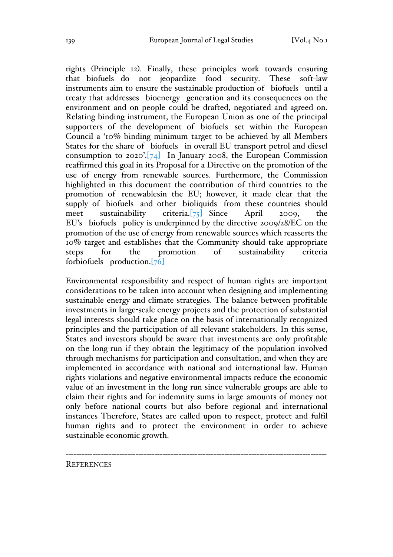rights (Principle 12). Finally, these principles work towards ensuring that biofuels do not jeopardize food security. These soft-law instruments aim to ensure the sustainable production of biofuels until a treaty that addresses bioenergy generation and its consequences on the environment and on people could be drafted, negotiated and agreed on. Relating binding instrument, the European Union as one of the principal supporters of the development of biofuels set within the European Council a '10% binding minimum target to be achieved by all Members States for the share of biofuels in overall EU transport petrol and diesel consumption to 2020'. $[74]$  In January 2008, the European Commission reaffirmed this goal in its Proposal for a Directive on the promotion of the use of energy from renewable sources. Furthermore, the Commission highlighted in this document the contribution of third countries to the promotion of renewablesin the EU; however, it made clear that the supply of biofuels and other bioliquids from these countries should meet sustainability criteria.[75] Since April 2009, the EU's biofuels policy is underpinned by the directive 2009/28/EC on the promotion of the use of energy from renewable sources which reasserts the 10% target and establishes that the Community should take appropriate steps for the promotion of sustainability criteria forbiofuels production.[76]

Environmental responsibility and respect of human rights are important considerations to be taken into account when designing and implementing sustainable energy and climate strategies. The balance between profitable investments in large-scale energy projects and the protection of substantial legal interests should take place on the basis of internationally recognized principles and the participation of all relevant stakeholders. In this sense, States and investors should be aware that investments are only profitable on the long-run if they obtain the legitimacy of the population involved through mechanisms for participation and consultation, and when they are implemented in accordance with national and international law. Human rights violations and negative environmental impacts reduce the economic value of an investment in the long run since vulnerable groups are able to claim their rights and for indemnity sums in large amounts of money not only before national courts but also before regional and international instances Therefore, States are called upon to respect, protect and fulfil human rights and to protect the environment in order to achieve sustainable economic growth.

-------------------------------------------------------------------------------------------------

**REFERENCES**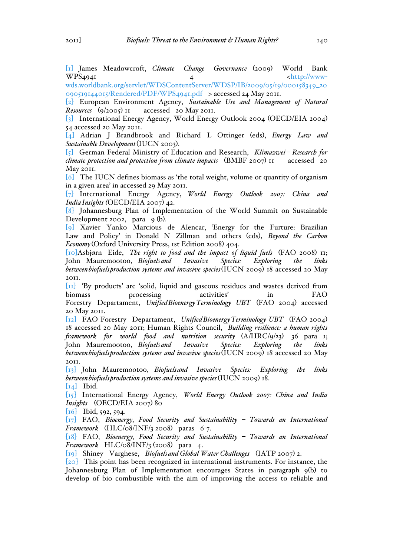[1] James Meadowcroft, *Climate Change Governance* (2009) World Bank  $WPS_{4941}$   $4$   $\left\langle \frac{http://www-11}{http://www-11/10} \right\rangle$ 

wds.worldbank.org/servlet/WDSContentServer/WDSP/IB/2009/05/19/000158349\_20 090519144015/Rendered/PDF/WPS4941.pdf > accessed 24 May 2011.

[2] European Environment Agency, *Sustainable Use and Management of Natural Resources* (9/2005) 11 accessed 20 May 2011.

[3] International Energy Agency, World Energy Outlook 2004 (OECD/EIA 2004) 54 accessed 20 May 2011.

[4] Adrian J Brandbrook and Richard L Ottinger (eds), *Energy Law and Sustainable Development*(IUCN 2003).

[5] German Federal Ministry of Education and Research, *Klimazwei– Research for climate protection and protection from climate impacts* (BMBF 2007) 11 accessed 20 May 2011.

[6] The IUCN defines biomass as 'the total weight, volume or quantity of organism in a given area' in accessed 29 May 2011.

[7] International Energy Agency, *World Energy Outlook 2007: China and IndiaInsights (*OECD/EIA 2007) 42.

[8] Johannesburg Plan of Implementation of the World Summit on Sustainable Development 2002, para 9 (b).

[9] Xavier Yanko Marcious de Alencar, 'Energy for the Furture: Brazilian Law and Policy' in Donald N Zillman and others (eds), *Beyond the Carbon Economy* (Oxford University Press, 1st Edition 2008) 404.

[10]Asbjørn Eide, *The right to food and the impact of liquid fuels* (FAO 2008) 11; John Mauremootoo, *Biofuelsand Invasive Species: Exploring the links betweenbiofuelsproduction systems and invasive species*(IUCN 2009) 18 accessed 20 May 2011.

[11] 'By products' are 'solid, liquid and gaseous residues and wastes derived from biomass processing activities' in FAO Forestry Departament, *UnifiedBioenergyTerminology UBT* (FAO 2004) accessed 20 May 2011.

[12] FAO Forestry Departament, *UnifiedBioenergyTerminology UBT* (FAO 2004) 18 accessed 20 May 2011; Human Rights Council, *Building resilience: a human rights framework for world food and nutrition security* (A/HRC/9/23) 36 para 1; John Mauremootoo, *Biofuelsand Invasive Species: Exploring the links betweenbiofuelsproduction systems and invasive species*(IUCN 2009) 18 accessed 20 May 2011.

[13] John Mauremootoo, *Biofuelsand Invasive Species: Exploring the links betweenbiofuelsproduction systems and invasive species*(IUCN 2009) 18.

 $\begin{bmatrix} 14 \end{bmatrix}$  Ibid.

[15] International Energy Agency, *World Energy Outlook 2007: China and India Insights* (OECD/EIA 2007) 80

 $[16]$  Ibid, 592, 594.

[17] FAO, *Bioenergy, Food Security and Sustainability – Towards an International Framework* (HLC/08/INF/3 2008) paras 6-7.

[18] FAO, *Bioenergy, Food Security and Sustainability – Towards an International Framework* HLC/08/INF/3 (2008) para 4.

[19] Shiney Varghese, *Biofuelsand Global Water Challenges* (IATP 2007) 2.

[20] This point has been recognized in international instruments. For instance, the Johannesburg Plan of Implementation encourages States in paragraph 9(b) to develop of bio combustible with the aim of improving the access to reliable and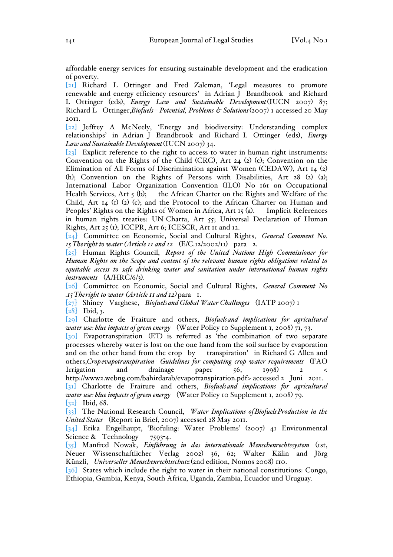affordable energy services for ensuring sustainable development and the eradication of poverty.

[21] Richard L Ottinger and Fred Zalcman, 'Legal measures to promote renewable and energy efficiency resources' in Adrian J Brandbrook and Richard L Ottinger (eds), *Energy Law and Sustainable Development*(IUCN 2007) 87; Richard L Ottinger,*Biofuels– Potential, Problems & Solutions*(2007) 1 accessed 20 May 2011.

[22] Jeffrey A McNeely, 'Energy and biodiversity: Understanding complex relationships' in Adrian J Brandbrook and Richard L Ottinger (eds), *Energy Law and Sustainable Development*(IUCN 2007) 34.

[23] Explicit reference to the right to access to water in human right instruments: Convention on the Rights of the Child (CRC), Art 24 (2) (c); Convention on the Elimination of All Forms of Discrimination against Women (CEDAW), Art 14 (2) (h); Convention on the Rights of Persons with Disabilities, Art 28 (2) (a); International Labor Organization Convention (ILO) No 161 on Occupational Health Services, Art 5 (b); the African Charter on the Rights and Welfare of the Child, Art 14 (1) (2) (c); and the Protocol to the African Charter on Human and Peoples' Rights on the Rights of Women in Africa, Art 15 (a). Implicit References in human rights treaties: UN-Charta, Art 55; Universal Declaration of Human Rights, Art 25 (1); ICCPR, Art 6; ICESCR, Art 11 and 12.

[24] Committee on Economic, Social and Cultural Rights, *General Comment No. 15Theright to water (Article 11 and 12* (E/C.12/2002/11) para 2.

[25] Human Rights Council, *Report of the United Nations High Commissioner for Human Rights on the Scope and content of the relevant human rights obligations related to equitable access to safe drinking water and sanitation under international human rights instruments* (A/HRC/6/3).

[26] Committee on Economic, Social and Cultural Rights, *General Comment No .15Theright to water (Article 11 and 12)*para 1.

[27] Shiney Varghese, *Biofuelsand Global Water Challenges* (IATP 2007) 1

[28] Ibid, 3.

[29] Charlotte de Fraiture and others, *Biofuelsand implications for agricultural water use: blue impacts of green energy* (Water Policy 10 Supplement 1, 2008) 71, 73.

 $\overline{[30]}$  Evapotranspiration (ET) is referred as 'the combination of two separate processes whereby water is lost on the one hand from the soil surface by evaporation and on the other hand from the crop by transpiration' in Richard G Allen and others,*Cropevapotranspiration- Guidelines for computing crop water requirements* (FAO Irrigation and drainage paper 56, 1998) 2 <

http://www2.webng.com/bahirdarab/evapotranspiration.pdf> accessed 2 Juni 2011. [31] Charlotte de Fraiture and others, *Biofuelsand implications for agricultural water use: blue impacts of green energy* (Water Policy 10 Supplement 1, 2008) 79.

[32] Ibid, 68.

[33] The National Research Council, *Water Implications ofBiofuelsProduction in the United States* (Report in Brief, 2007) accessed 28 May 2011.

[34] Erika Engelhaupt, 'Biofuling: Water Problems' (2007) 41 Environmental Science & Technology 7593-4.

[35] Manfred Nowak, *Einführung in das internationale Menschenrechtssystem* (1st, Neuer Wissenschaftlicher Verlag 2002) 36, 62; Walter Kälin and Jörg Künzli, *Universeller Menschenrechtsschutz* (2nd edition, Nomos 2008) 110.

[36] States which include the right to water in their national constitutions: Congo, Ethiopia, Gambia, Kenya, South Africa, Uganda, Zambia, Ecuador und Uruguay.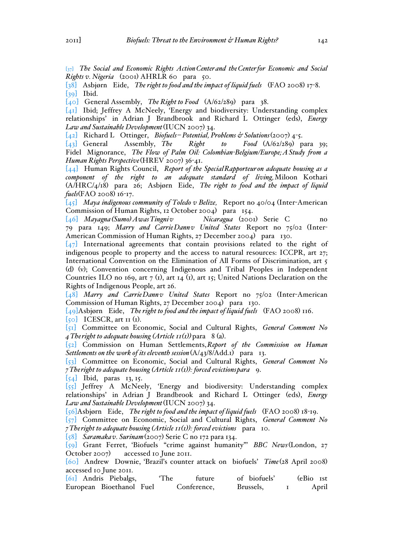[37] *The Social and Economic Rights ActionCenterand theCenterfor Economic and Social Rights v. Nigeria* (2001) AHRLR 60 para 50.

[38] Asbjørn Eide, *The right to food and the impact of liquid fuels* (FAO 2008) 17-8. [39] Ibid.

[40] General Assembly, *The Right to Food* (A/62/289) para 38.

[41] Ibid; Jeffrey A McNeely, 'Energy and biodiversity: Understanding complex relationships' in Adrian J Brandbrook and Richard L Ottinger (eds), *Energy Law and Sustainable Development*(IUCN 2007) 34.

[42] Richard L Ottinger, *Biofuels– Potential, Problems & Solutions*(2007) 4-5.

[43] General Assembly, *The Right to Food* (A/62/289) para 39; Fidel Mignorance, *The Flow of Palm Oil: Colombian-Belgium/Europe;AStudy from a Human Rights Perspective*(HREV 2007) 36-41.

[44] Human Rights Council, *Report of the SpecialRapporteur on adequate housing as a component of the right to an adequate standard of living,*Miloon Kothari (A/HRC/4/18) para 26; Asbjørn Eide, *The right to food and the impact of liquid fuels*(FAO 2008) 16-17.

[45] *Maya indigenous community of Toledo v Belize,* Report no 40/04 (Inter-American Commission of Human Rights, 12 October 2004) para 154.<br>
[46] Mayagna (Sumo) Awas Tingniv Nicaragua (2001) Serie C

[46] *Mayagna(Sumo)AwasTingniv Nicaragua* (2001) Serie C no 79 para 149; *Marry and CarrieDannv United States* Report no 75/02 (Inter-American Commission of Human Rights, 27 December 2004) para 130.

[47] International agreements that contain provisions related to the right of indigenous people to property and the access to natural resources: ICCPR, art 27; International Convention on the Elimination of All Forms of Discrimination, art 5 (d) (v); Convention concerning Indigenous and Tribal Peoples in Independent Countries ILO no 169, art 7 (1), art 14 (1), art 15; United Nations Declaration on the Rights of Indigenous People, art 26.

[48] *Marry and CarrieDannv United States* Report no 75/02 (Inter-American Commission of Human Rights, 27 December 2004) para 130.

[49]Asbjørn Eide, *The right to food and the impact of liquid fuels* (FAO 2008) 116.

 $[50]$  ICESCR, art II (I).

[51] Committee on Economic, Social and Cultural Rights, *General Comment No 4 The right to adequate housing*  $(A \text{ + } I(I))$  *para 8 (a).* 

[52] Commission on Human Settlements,*Report of the Commission on Human Settlements on the work of its eleventh session*(A/43/8/Add.1) para 13.

[53] Committee on Economic, Social and Cultural Rights, *General Comment No 7Theright to adequate housing (Article 11(1)): forced evictionspara* 9.

 $[54]$  Ibid, paras 13, 15.

[55] Jeffrey A McNeely, 'Energy and biodiversity: Understanding complex relationships' in Adrian J Brandbrook and Richard L Ottinger (eds), *Energy Law and Sustainable Development*(IUCN 2007) 34.

[56]Asbjørn Eide, *The right to food and the impact of liquid fuels* (FAO 2008) 18-19.

[57] Committee on Economic, Social and Cultural Rights, *General Comment No 7Theright to adequate housing (Article 11(1)): forced evictions* para 10.

[58] *Saramakav. Surinam*(2007) Serie C no 172 para 134.

[59] Grant Ferret, 'Biofuels "crime against humanity"' *BBC News*(London, 27 October 2007) accessed 10 June 2011.

[60] Andrew Downie, 'Brazil's counter attack on biofuels' *Time*(28 April 2008) accessed 10 June 2011.

|  | [61] Andris Piebalgs,    | 'The | future      | of biofuels' | (eBio <sub>Ist</sub> |       |
|--|--------------------------|------|-------------|--------------|----------------------|-------|
|  | European Bioethanol Fuel |      | Conference, | Brussels,    |                      | April |